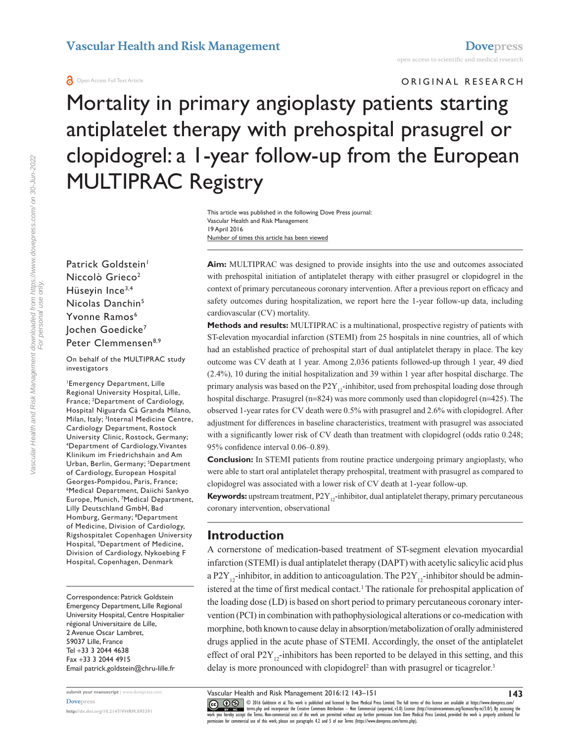**O** Open Access Full Text Article

ORIGINAL RESEARCH

Mortality in primary angioplasty patients starting antiplatelet therapy with prehospital prasugrel or clopidogrel: a 1-year follow-up from the European MULTIPRAC Registry

> Number of times this article has been viewed This article was published in the following Dove Press journal: Vascular Health and Risk Management 19 April 2016

Patrick Goldstein<sup>1</sup> Niccolò Grieco<sup>2</sup> Hüseyin Ince<sup>3,4</sup> Nicolas Danchin<sup>5</sup> Yvonne Ramos<sup>6</sup> Jochen Goedicke7 Peter Clemmensen<sup>8,9</sup>

On behalf of the MULTIPRAC study investigators

1 Emergency Department, Lille Regional University Hospital, Lille, France; 2 Department of Cardiology, Hospital Niguarda Cà Granda Milano, Milan, Italy; 3 Internal Medicine Centre, Cardiology Department, Rostock University Clinic, Rostock, Germany; 4 Department of Cardiology, Vivantes Klinikum im Friedrichshain and Am Urban, Berlin, Germany; <sup>5</sup>Department of Cardiology, European Hospital Georges-Pompidou, Paris, France; 6 Medical Department, Daiichi Sankyo Europe, Munich, 7 Medical Department, Lilly Deutschland GmbH, Bad Homburg, Germany; 8 Department of Medicine, Division of Cardiology, Rigshospitalet Copenhagen University Hospital, 9 Department of Medicine, Division of Cardiology, Nykoebing F Hospital, Copenhagen, Denmark

Correspondence: Patrick Goldstein Emergency Department, Lille Regional University Hospital, Centre Hospitalier régional Universitaire de Lille, 2 Avenue Oscar Lambret, 59037 Lille, France Tel +33 3 2044 4638 Fax +33 3 2044 4915 Email [patrick.goldstein@chru-lille.fr](mailto:patrick.goldstein@chru-lille.fr)

**[Dovepress](www.dovepress.com)**

**<http://dx.doi.org/10.2147/VHRM.S95391>**

**Aim:** MULTIPRAC was designed to provide insights into the use and outcomes associated with prehospital initiation of antiplatelet therapy with either prasugrel or clopidogrel in the context of primary percutaneous coronary intervention. After a previous report on efficacy and safety outcomes during hospitalization, we report here the 1-year follow-up data, including cardiovascular (CV) mortality.

**Methods and results:** MULTIPRAC is a multinational, prospective registry of patients with ST-elevation myocardial infarction (STEMI) from 25 hospitals in nine countries, all of which had an established practice of prehospital start of dual antiplatelet therapy in place. The key outcome was CV death at 1 year. Among 2,036 patients followed-up through 1 year, 49 died (2.4%), 10 during the initial hospitalization and 39 within 1 year after hospital discharge. The primary analysis was based on the P2Y<sub>12</sub>-inhibitor, used from prehospital loading dose through hospital discharge. Prasugrel (n=824) was more commonly used than clopidogrel (n=425). The observed 1-year rates for CV death were 0.5% with prasugrel and 2.6% with clopidogrel. After adjustment for differences in baseline characteristics, treatment with prasugrel was associated with a significantly lower risk of CV death than treatment with clopidogrel (odds ratio 0.248; 95% confidence interval 0.06–0.89).

**Conclusion:** In STEMI patients from routine practice undergoing primary angioplasty, who were able to start oral antiplatelet therapy prehospital, treatment with prasugrel as compared to clopidogrel was associated with a lower risk of CV death at 1-year follow-up.

**Keywords:** upstream treatment,  $P2Y_{12}$ -inhibitor, dual antiplatelet therapy, primary percutaneous coronary intervention, observational

### **Introduction**

A cornerstone of medication-based treatment of ST-segment elevation myocardial infarction (STEMI) is dual antiplatelet therapy (DAPT) with acetylic salicylic acid plus a P2Y<sub>12</sub>-inhibitor, in addition to anticoagulation. The P2Y<sub>12</sub>-inhibitor should be administered at the time of first medical contact.<sup>1</sup> The rationale for prehospital application of the loading dose (LD) is based on short period to primary percutaneous coronary intervention (PCI) in combination with pathophysiological alterations or co-medication with morphine, both known to cause delay in absorption/metabolization of orally administered drugs applied in the acute phase of STEMI. Accordingly, the onset of the antiplatelet effect of oral P2Y<sub>12</sub>-inhibitors has been reported to be delayed in this setting, and this delay is more pronounced with clopidogrel<sup>2</sup> than with prasugrel or ticagrelor.<sup>3</sup>

Vascular Health and Risk Management 2016:12 143–151 **submit your manuscript** | <www.dovepress.com>

**if and and licensed and licensed and licensed by Dove Medical Press Limited.** The full terms of this license are available at [https://www.dovepress.com/](https://www.dovepress.com/terms.php)<br>Even terms on and incorporate the Creative Comment Arribution. We C The state of terms php and incorporate the Creative Commons Attribution — Non Commercial (unported, v3.0) License [\(http://creativecommons.org/licenses/by-nc/3.0/\)](http://creativecommons.org/licenses/by-nc/3.0/). By accessing the work is properly attributed. For expectiv

**143**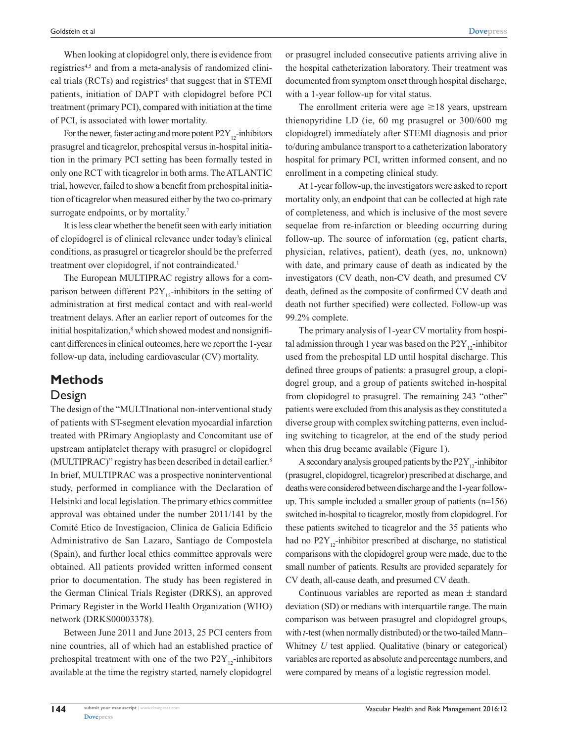When looking at clopidogrel only, there is evidence from registries<sup>4,5</sup> and from a meta-analysis of randomized clinical trials (RCTs) and registries<sup>6</sup> that suggest that in STEMI patients, initiation of DAPT with clopidogrel before PCI treatment (primary PCI), compared with initiation at the time of PCI, is associated with lower mortality.

For the newer, faster acting and more potent  $P2Y_{12}$ -inhibitors prasugrel and ticagrelor, prehospital versus in-hospital initiation in the primary PCI setting has been formally tested in only one RCT with ticagrelor in both arms. The ATLANTIC trial, however, failed to show a benefit from prehospital initiation of ticagrelor when measured either by the two co-primary surrogate endpoints, or by mortality.<sup>7</sup>

It is less clear whether the benefit seen with early initiation of clopidogrel is of clinical relevance under today's clinical conditions, as prasugrel or ticagrelor should be the preferred treatment over clopidogrel, if not contraindicated.<sup>1</sup>

The European MULTIPRAC registry allows for a comparison between different  $P2Y_{12}$ -inhibitors in the setting of administration at first medical contact and with real-world treatment delays. After an earlier report of outcomes for the initial hospitalization,<sup>8</sup> which showed modest and nonsignificant differences in clinical outcomes, here we report the 1-year follow-up data, including cardiovascular (CV) mortality.

#### **Methods**

#### Design

The design of the "MULTInational non-interventional study of patients with ST-segment elevation myocardial infarction treated with PRimary Angioplasty and Concomitant use of upstream antiplatelet therapy with prasugrel or clopidogrel (MULTIPRAC)" registry has been described in detail earlier.<sup>8</sup> In brief, MULTIPRAC was a prospective noninterventional study, performed in compliance with the Declaration of Helsinki and local legislation. The primary ethics committee approval was obtained under the number 2011/141 by the Comité Etico de Investigacion, Clinica de Galicia Edificio Administrativo de San Lazaro, Santiago de Compostela (Spain), and further local ethics committee approvals were obtained. All patients provided written informed consent prior to documentation. The study has been registered in the German Clinical Trials Register (DRKS), an approved Primary Register in the World Health Organization (WHO) network (DRKS00003378).

Between June 2011 and June 2013, 25 PCI centers from nine countries, all of which had an established practice of prehospital treatment with one of the two  $P2Y_{12}$ -inhibitors available at the time the registry started, namely clopidogrel

or prasugrel included consecutive patients arriving alive in the hospital catheterization laboratory. Their treatment was documented from symptom onset through hospital discharge, with a 1-year follow-up for vital status.

The enrollment criteria were age  $\geq$ 18 years, upstream thienopyridine LD (ie, 60 mg prasugrel or 300/600 mg clopidogrel) immediately after STEMI diagnosis and prior to/during ambulance transport to a catheterization laboratory hospital for primary PCI, written informed consent, and no enrollment in a competing clinical study.

At 1-year follow-up, the investigators were asked to report mortality only, an endpoint that can be collected at high rate of completeness, and which is inclusive of the most severe sequelae from re-infarction or bleeding occurring during follow-up. The source of information (eg, patient charts, physician, relatives, patient), death (yes, no, unknown) with date, and primary cause of death as indicated by the investigators (CV death, non-CV death, and presumed CV death, defined as the composite of confirmed CV death and death not further specified) were collected. Follow-up was 99.2% complete.

The primary analysis of 1-year CV mortality from hospital admission through 1 year was based on the  $P2Y_{12}$ -inhibitor used from the prehospital LD until hospital discharge. This defined three groups of patients: a prasugrel group, a clopidogrel group, and a group of patients switched in-hospital from clopidogrel to prasugrel. The remaining 243 "other" patients were excluded from this analysis as they constituted a diverse group with complex switching patterns, even including switching to ticagrelor, at the end of the study period when this drug became available (Figure 1).

A secondary analysis grouped patients by the  $P2Y_{12}$ -inhibitor (prasugrel, clopidogrel, ticagrelor) prescribed at discharge, and deaths were considered between discharge and the 1-year followup. This sample included a smaller group of patients (n=156) switched in-hospital to ticagrelor, mostly from clopidogrel. For these patients switched to ticagrelor and the 35 patients who had no  $P2Y_{12}$ -inhibitor prescribed at discharge, no statistical comparisons with the clopidogrel group were made, due to the small number of patients. Results are provided separately for CV death, all-cause death, and presumed CV death.

Continuous variables are reported as mean ± standard deviation (SD) or medians with interquartile range. The main comparison was between prasugrel and clopidogrel groups, with *t*-test (when normally distributed) or the two-tailed Mann– Whitney *U* test applied. Qualitative (binary or categorical) variables are reported as absolute and percentage numbers, and were compared by means of a logistic regression model.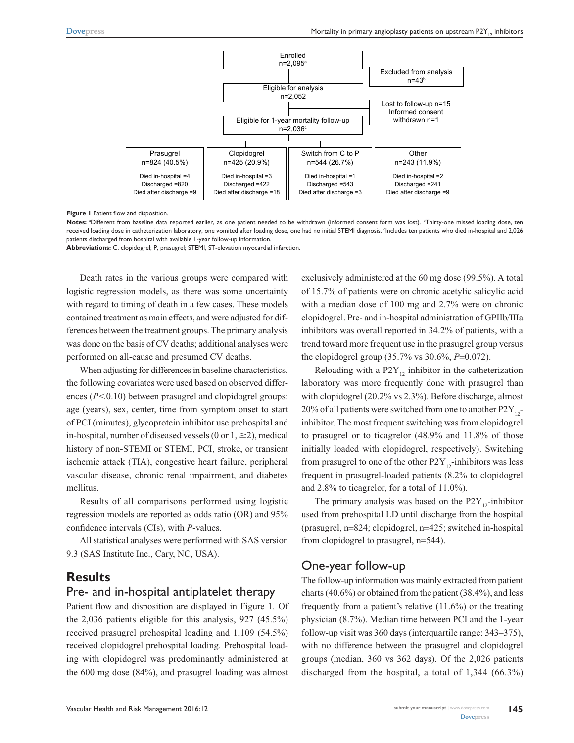

**Figure 1** Patient flow and disposition.

Notes: <sup>a</sup>Different from baseline data reported earlier, as one patient needed to be withdrawn (informed consent form was lost). <sup>b</sup>Thirty-one missed loading dose, ten received loading dose in catheterization laboratory, one vomited after loading dose, one had no initial STEMI diagnosis. Includes ten patients who died in-hospital and 2,026 patients discharged from hospital with available 1-year follow-up information.

**Abbreviations:** C, clopidogrel; P, prasugrel; STEMI, ST-elevation myocardial infarction.

Death rates in the various groups were compared with logistic regression models, as there was some uncertainty with regard to timing of death in a few cases. These models contained treatment as main effects, and were adjusted for differences between the treatment groups. The primary analysis was done on the basis of CV deaths; additional analyses were performed on all-cause and presumed CV deaths.

When adjusting for differences in baseline characteristics, the following covariates were used based on observed differences  $(P<0.10)$  between prasugrel and clopidogrel groups: age (years), sex, center, time from symptom onset to start of PCI (minutes), glycoprotein inhibitor use prehospital and in-hospital, number of diseased vessels (0 or  $1, \ge 2$ ), medical history of non-STEMI or STEMI, PCI, stroke, or transient ischemic attack (TIA), congestive heart failure, peripheral vascular disease, chronic renal impairment, and diabetes mellitus.

Results of all comparisons performed using logistic regression models are reported as odds ratio (OR) and 95% confidence intervals (CIs), with *P*-values.

All statistical analyses were performed with SAS version 9.3 (SAS Institute Inc., Cary, NC, USA).

### **Results**

#### Pre- and in-hospital antiplatelet therapy

Patient flow and disposition are displayed in Figure 1. Of the 2,036 patients eligible for this analysis, 927 (45.5%) received prasugrel prehospital loading and 1,109 (54.5%) received clopidogrel prehospital loading. Prehospital loading with clopidogrel was predominantly administered at the 600 mg dose (84%), and prasugrel loading was almost

exclusively administered at the 60 mg dose (99.5%). A total of 15.7% of patients were on chronic acetylic salicylic acid with a median dose of 100 mg and 2.7% were on chronic clopidogrel. Pre- and in-hospital administration of GPIIb/IIIa inhibitors was overall reported in 34.2% of patients, with a trend toward more frequent use in the prasugrel group versus the clopidogrel group (35.7% vs 30.6%, *P*=0.072).

Reloading with a P2Y<sub>12</sub>-inhibitor in the catheterization laboratory was more frequently done with prasugrel than with clopidogrel (20.2% vs 2.3%). Before discharge, almost 20% of all patients were switched from one to another  $P2Y_{12}$ inhibitor. The most frequent switching was from clopidogrel to prasugrel or to ticagrelor (48.9% and 11.8% of those initially loaded with clopidogrel, respectively). Switching from prasugrel to one of the other  $P2Y_{12}$ -inhibitors was less frequent in prasugrel-loaded patients (8.2% to clopidogrel and 2.8% to ticagrelor, for a total of 11.0%).

The primary analysis was based on the  $P2Y_{12}$ -inhibitor used from prehospital LD until discharge from the hospital (prasugrel, n=824; clopidogrel, n=425; switched in-hospital from clopidogrel to prasugrel, n=544).

### One-year follow-up

The follow-up information was mainly extracted from patient charts (40.6%) or obtained from the patient (38.4%), and less frequently from a patient's relative (11.6%) or the treating physician (8.7%). Median time between PCI and the 1-year follow-up visit was 360 days (interquartile range: 343–375), with no difference between the prasugrel and clopidogrel groups (median, 360 vs 362 days). Of the 2,026 patients discharged from the hospital, a total of 1,344 (66.3%)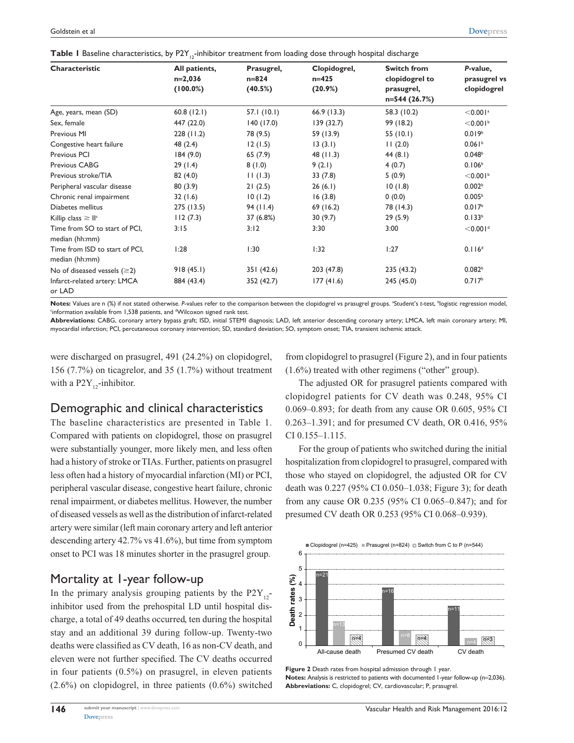**Table 1** Baseline characteristics, by P2Y<sub>12</sub>-inhibitor treatment from loading dose through hospital discharge

| Characteristic                      | All patients,<br>$n=2,036$<br>$(100.0\%)$ | Prasugrel,<br>$n = 824$<br>(40.5%) | Clopidogrel,<br>$n = 425$<br>(20.9%) | <b>Switch from</b><br>clopidogrel to<br>prasugrel,<br>n=544 (26.7%) | P-value,<br>prasugrel vs<br>clopidogrel |                       |            |             |            |             |                        |
|-------------------------------------|-------------------------------------------|------------------------------------|--------------------------------------|---------------------------------------------------------------------|-----------------------------------------|-----------------------|------------|-------------|------------|-------------|------------------------|
|                                     |                                           |                                    |                                      |                                                                     |                                         | Age, years, mean (SD) | 60.8(12.1) | 57.1 (10.1) | 66.9(13.3) | 58.3 (10.2) | $<$ 0.001 <sup>a</sup> |
|                                     |                                           |                                    |                                      |                                                                     |                                         | Sex, female           | 447 (22.0) | 140(17.0)   | 139(32.7)  | 99 (18.2)   | $<$ 0.00 $1^{\circ}$   |
|                                     |                                           |                                    |                                      |                                                                     |                                         | Previous MI           | 228(11.2)  | 78 (9.5)    | 59 (13.9)  | 55 $(10.1)$ | 0.019 <sup>b</sup>     |
| Congestive heart failure            | 48 (2.4)                                  | 12(1.5)                            | 13(3.1)                              | 11(2.0)                                                             | 0.061 <sup>b</sup>                      |                       |            |             |            |             |                        |
| Previous PCI                        | 184(9.0)                                  | 65(7.9)                            | 48 (11.3)                            | 44 $(8.1)$                                                          | 0.048 <sup>b</sup>                      |                       |            |             |            |             |                        |
| Previous CABG                       | 29(1.4)                                   | $(0.1)$ 8                          | 9(2.1)                               | 4(0.7)                                                              | 0.106 <sup>b</sup>                      |                       |            |             |            |             |                        |
| Previous stroke/TIA                 | 82(4.0)                                   | 11(1.3)                            | 33 (7.8)                             | 5(0.9)                                                              | $<$ 0.00 $1^{\circ}$                    |                       |            |             |            |             |                        |
| Peripheral vascular disease         | 80(3.9)                                   | 21(2.5)                            | 26(6.1)                              | 10(1.8)                                                             | 0.002 <sup>b</sup>                      |                       |            |             |            |             |                        |
| Chronic renal impairment            | 32(1.6)                                   | 10(1.2)                            | 16(3.8)                              | 0(0.0)                                                              | 0.005 <sup>b</sup>                      |                       |            |             |            |             |                        |
| Diabetes mellitus                   | 275 (13.5)                                | 94 (11.4)                          | 69 (16.2)                            | 78 (14.3)                                                           | 0.017 <sup>b</sup>                      |                       |            |             |            |             |                        |
| Killip class $\geq$ II <sup>c</sup> | 112(7.3)                                  | 37 (6.8%)                          | 30(9.7)                              | 29(5.9)                                                             | 0.133 <sup>b</sup>                      |                       |            |             |            |             |                        |
| Time from SO to start of PCI,       | 3:15                                      | 3:12                               | 3:30                                 | 3:00                                                                | $<$ 0.00 $1d$                           |                       |            |             |            |             |                        |
| median (hh:mm)                      |                                           |                                    |                                      |                                                                     |                                         |                       |            |             |            |             |                        |
| Time from ISD to start of PCI,      | 1:28                                      | 1:30                               | 1:32                                 | 1:27                                                                | 0.116 <sup>d</sup>                      |                       |            |             |            |             |                        |
| median (hh:mm)                      |                                           |                                    |                                      |                                                                     |                                         |                       |            |             |            |             |                        |
| No of diseased vessels $(\geq 2)$   | 918(45.1)                                 | 351 (42.6)                         | 203 (47.8)                           | 235 (43.2)                                                          | 0.082 <sup>b</sup>                      |                       |            |             |            |             |                        |
| Infarct-related artery: LMCA        | 884 (43.4)                                | 352 (42.7)                         | 177(41.6)                            | 245 (45.0)                                                          | 0.717 <sup>b</sup>                      |                       |            |             |            |             |                        |
| or LAD                              |                                           |                                    |                                      |                                                                     |                                         |                       |            |             |            |             |                        |

Notes: Values are n (%) if not stated otherwise. *P*-values refer to the comparison between the clopidogrel vs prasugrel groups. <sup>a</sup>Student's *t*-test, <sup>b</sup>logistic regression model,<br>Sinformation available from 1.538 patien information available from 1,538 patients, and <sup>d</sup>Wilcoxon signed rank test.

**Abbreviations:** CABG, coronary artery bypass graft; ISD, initial STEMI diagnosis; LAD, left anterior descending coronary artery; LMCA, left main coronary artery; MI, myocardial infarction; PCI, percutaneous coronary intervention; SD, standard deviation; SO, symptom onset; TIA, transient ischemic attack.

were discharged on prasugrel, 491 (24.2%) on clopidogrel, 156 (7.7%) on ticagrelor, and 35 (1.7%) without treatment with a  $P2Y_{12}$ -inhibitor.

### Demographic and clinical characteristics

The baseline characteristics are presented in Table 1. Compared with patients on clopidogrel, those on prasugrel were substantially younger, more likely men, and less often had a history of stroke or TIAs. Further, patients on prasugrel less often had a history of myocardial infarction (MI) or PCI, peripheral vascular disease, congestive heart failure, chronic renal impairment, or diabetes mellitus. However, the number of diseased vessels as well as the distribution of infarct-related artery were similar (left main coronary artery and left anterior descending artery 42.7% vs 41.6%), but time from symptom onset to PCI was 18 minutes shorter in the prasugrel group.

# Mortality at 1-year follow-up

In the primary analysis grouping patients by the  $P2Y_{12}$ inhibitor used from the prehospital LD until hospital discharge, a total of 49 deaths occurred, ten during the hospital stay and an additional 39 during follow-up. Twenty-two deaths were classified as CV death, 16 as non-CV death, and eleven were not further specified. The CV deaths occurred in four patients (0.5%) on prasugrel, in eleven patients (2.6%) on clopidogrel, in three patients (0.6%) switched from clopidogrel to prasugrel (Figure 2), and in four patients (1.6%) treated with other regimens ("other" group).

The adjusted OR for prasugrel patients compared with clopidogrel patients for CV death was 0.248, 95% CI 0.069–0.893; for death from any cause OR 0.605, 95% CI 0.263–1.391; and for presumed CV death, OR 0.416, 95% CI 0.155–1.115.

For the group of patients who switched during the initial hospitalization from clopidogrel to prasugrel, compared with those who stayed on clopidogrel, the adjusted OR for CV death was 0.227 (95% CI 0.050–1.038; Figure 3); for death from any cause OR 0.235 (95% CI 0.065–0.847); and for presumed CV death OR 0.253 (95% CI 0.068–0.939).



**Figure 2** Death rates from hospital admission through 1 year. **Notes:** Analysis is restricted to patients with documented 1-year follow-up (n=2,036). **Abbreviations:** C, clopidogrel; CV, cardiovascular; P, prasugrel.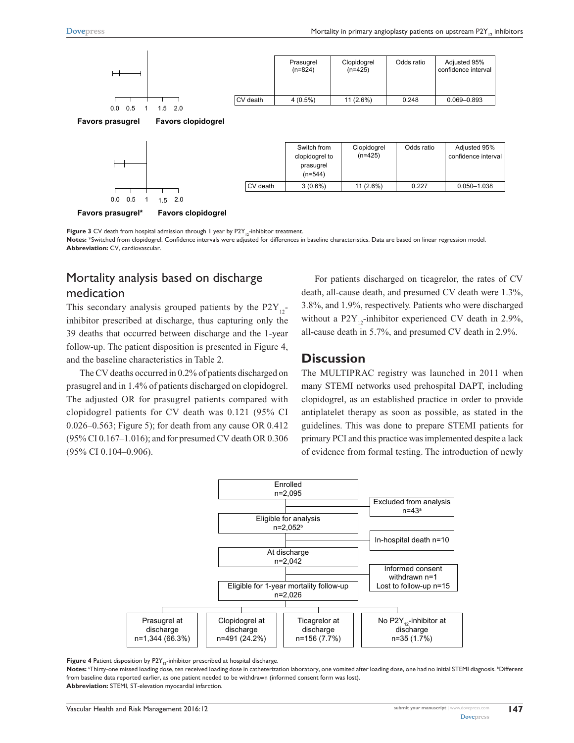

**Favors prasugrel\* Favors clopidogrel**

**Figure 3** CV death from hospital admission through 1 year by P2Y<sub>12</sub>-inhibitor treatment.

**Notes:** \*Switched from clopidogrel. Confidence intervals were adjusted for differences in baseline characteristics. Data are based on linear regression model. **Abbreviation:** CV, cardiovascular.

# Mortality analysis based on discharge medication

This secondary analysis grouped patients by the  $P2Y_{12}$ inhibitor prescribed at discharge, thus capturing only the 39 deaths that occurred between discharge and the 1-year follow-up. The patient disposition is presented in Figure 4, and the baseline characteristics in Table 2.

The CV deaths occurred in 0.2% of patients discharged on prasugrel and in 1.4% of patients discharged on clopidogrel. The adjusted OR for prasugrel patients compared with clopidogrel patients for CV death was 0.121 (95% CI 0.026–0.563; Figure 5); for death from any cause OR 0.412 (95% CI 0.167–1.016); and for presumed CV death OR 0.306 (95% CI 0.104–0.906).

For patients discharged on ticagrelor, the rates of CV death, all-cause death, and presumed CV death were 1.3%, 3.8%, and 1.9%, respectively. Patients who were discharged without a P2Y<sub>12</sub>-inhibitor experienced CV death in 2.9%, all-cause death in 5.7%, and presumed CV death in 2.9%.

### **Discussion**

The MULTIPRAC registry was launched in 2011 when many STEMI networks used prehospital DAPT, including clopidogrel, as an established practice in order to provide antiplatelet therapy as soon as possible, as stated in the guidelines. This was done to prepare STEMI patients for primary PCI and this practice was implemented despite a lack of evidence from formal testing. The introduction of newly



**Figure 4** Patient disposition by P2Y<sub>12</sub>-inhibitor prescribed at hospital discharge.

Notes: <sup>a</sup>Thirty-one missed loading dose, ten received loading dose in catheterization laboratory, one vomited after loading dose, one had no initial STEMI diagnosis. <sup>b</sup>Different from baseline data reported earlier, as one patient needed to be withdrawn (informed consent form was lost). **Abbreviation:** STEMI, ST-elevation myocardial infarction.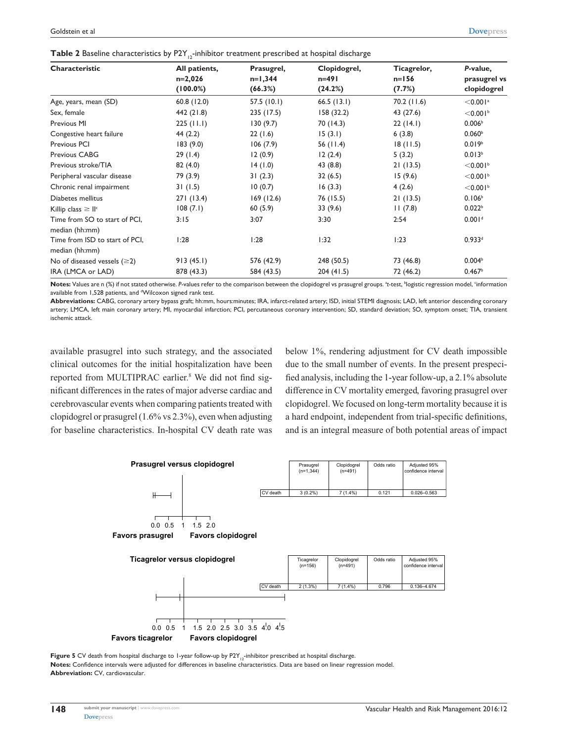**Table 2** Baseline characteristics by P2Y<sub>12</sub>-inhibitor treatment prescribed at hospital discharge

| Characteristic                                   | All patients,<br>$n=2,026$<br>$(100.0\%)$ | Prasugrel,<br>$n=1,344$<br>(66.3%) | Clopidogrel,<br>$n=491$<br>(24.2%) | Ticagrelor,<br>$n=156$<br>(7.7%) | P-value,<br>prasugrel vs<br>clopidogrel |                       |            |            |            |               |                        |
|--------------------------------------------------|-------------------------------------------|------------------------------------|------------------------------------|----------------------------------|-----------------------------------------|-----------------------|------------|------------|------------|---------------|------------------------|
|                                                  |                                           |                                    |                                    |                                  |                                         | Age, years, mean (SD) | 60.8(12.0) | 57.5(10.1) | 66.5(13.1) | $70.2$ (11.6) | $<$ 0.001 <sup>a</sup> |
|                                                  |                                           |                                    |                                    |                                  |                                         | Sex, female           | 442 (21.8) | 235 (17.5) | 158(32.2)  | 43 (27.6)     | $<$ 0.001b             |
| Previous MI                                      | $225$ (11.1)                              | 130(9.7)                           | 70 (14.3)                          | 22(14.1)                         | 0.006 <sup>b</sup>                      |                       |            |            |            |               |                        |
| Congestive heart failure                         | 44 $(2.2)$                                | 22(1.6)                            | 15(3.1)                            | 6(3.8)                           | 0.060 <sup>b</sup>                      |                       |            |            |            |               |                        |
| Previous PCI                                     | 183(9.0)                                  | 106(7.9)                           | 56 $(11.4)$                        | 18(11.5)                         | 0.019 <sup>b</sup>                      |                       |            |            |            |               |                        |
| Previous CABG                                    | 29(1.4)                                   | 12(0.9)                            | 12(2.4)                            | 5(3.2)                           | 0.013 <sup>b</sup>                      |                       |            |            |            |               |                        |
| Previous stroke/TIA                              | 82(4.0)                                   | 14(1.0)                            | 43 (8.8)                           | 21(13.5)                         | $<$ 0.00 $\mathsf{I}^{\mathsf{b}}$      |                       |            |            |            |               |                        |
| Peripheral vascular disease                      | 79 (3.9)                                  | 31(2.3)                            | 32(6.5)                            | 15(9.6)                          | $<$ 0.00 l <sup>b</sup>                 |                       |            |            |            |               |                        |
| Chronic renal impairment                         | 31(1.5)                                   | 10(0.7)                            | 16(3.3)                            | 4(2.6)                           | $<$ 0.001b                              |                       |            |            |            |               |                        |
| Diabetes mellitus                                | 271(13.4)                                 | 169(12.6)                          | 76 (15.5)                          | 21(13.5)                         | 0.106 <sup>b</sup>                      |                       |            |            |            |               |                        |
| Killip class $\geq$ II <sup>c</sup>              | 108(7.1)                                  | 60(5.9)                            | 33(9.6)                            | 11(7.8)                          | 0.022 <sup>b</sup>                      |                       |            |            |            |               |                        |
| Time from SO to start of PCI,                    | 3:15                                      | 3:07                               | 3:30                               | 2:54                             | 0.001 <sup>d</sup>                      |                       |            |            |            |               |                        |
| median (hh:mm)                                   |                                           |                                    |                                    |                                  |                                         |                       |            |            |            |               |                        |
| Time from ISD to start of PCI,<br>median (hh:mm) | 1:28                                      | 1:28                               | 1:32                               | 1:23                             | 0.933d                                  |                       |            |            |            |               |                        |
| No of diseased vessels $(\geq 2)$                | 913(45.1)                                 | 576 (42.9)                         | 248 (50.5)                         | 73 (46.8)                        | 0.004 <sup>b</sup>                      |                       |            |            |            |               |                        |
| IRA (LMCA or LAD)                                | 878 (43.3)                                | 584 (43.5)                         | 204(41.5)                          | 72 (46.2)                        | 0.467 <sup>b</sup>                      |                       |            |            |            |               |                        |

Notes: Values are n (%) if not stated otherwise. P-values refer to the comparison between the clopidogrel vs prasugrel groups. <sup>3</sup>t-test, <sup>b</sup>logistic regression model, <sup>c</sup>information available from 1,528 patients, and <sup>d</sup>Wilcoxon signed rank test.

**Abbreviations:** CABG, coronary artery bypass graft; hh:mm, hours:minutes; IRA, infarct-related artery; ISD, initial STEMI diagnosis; LAD, left anterior descending coronary artery; LMCA, left main coronary artery; MI, myocardial infarction; PCI, percutaneous coronary intervention; SD, standard deviation; SO, symptom onset; TIA, transient ischemic attack.

available prasugrel into such strategy, and the associated clinical outcomes for the initial hospitalization have been reported from MULTIPRAC earlier.<sup>8</sup> We did not find significant differences in the rates of major adverse cardiac and cerebrovascular events when comparing patients treated with clopidogrel or prasugrel (1.6% vs 2.3%), even when adjusting for baseline characteristics. In-hospital CV death rate was below 1%, rendering adjustment for CV death impossible due to the small number of events. In the present prespecified analysis, including the 1-year follow-up, a 2.1% absolute difference in CV mortality emerged, favoring prasugrel over clopidogrel. We focused on long-term mortality because it is a hard endpoint, independent from trial-specific definitions, and is an integral measure of both potential areas of impact



**Figure 5** CV death from hospital discharge to 1-year follow-up by P2Y<sub>12</sub>-inhibitor prescribed at hospital discharge. **Notes:** Confidence intervals were adjusted for differences in baseline characteristics. Data are based on linear regression model. **Abbreviation:** CV, cardiovascular.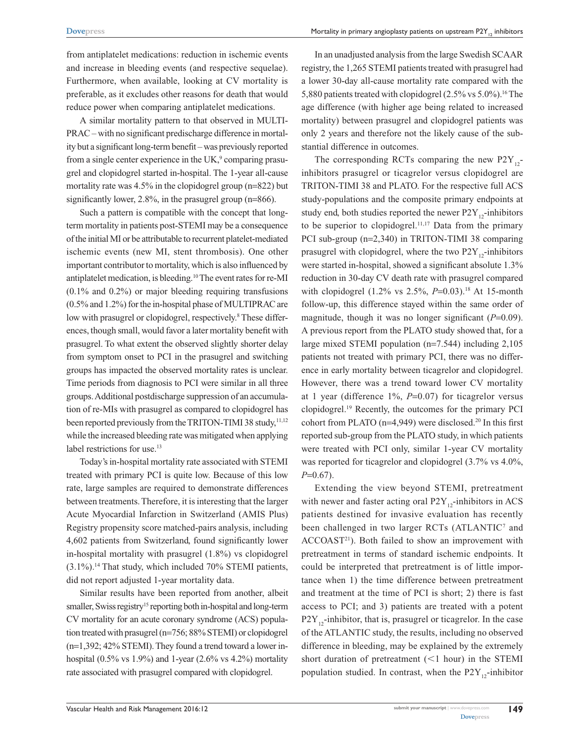from antiplatelet medications: reduction in ischemic events and increase in bleeding events (and respective sequelae). Furthermore, when available, looking at CV mortality is preferable, as it excludes other reasons for death that would reduce power when comparing antiplatelet medications.

A similar mortality pattern to that observed in MULTI-PRAC – with no significant predischarge difference in mortality but a significant long-term benefit – was previously reported from a single center experience in the UK,<sup>9</sup> comparing prasugrel and clopidogrel started in-hospital. The 1-year all-cause mortality rate was 4.5% in the clopidogrel group (n=822) but significantly lower, 2.8%, in the prasugrel group (n=866).

Such a pattern is compatible with the concept that longterm mortality in patients post-STEMI may be a consequence of the initial MI or be attributable to recurrent platelet-mediated ischemic events (new MI, stent thrombosis). One other important contributor to mortality, which is also influenced by antiplatelet medication, is bleeding.10 The event rates for re-MI  $(0.1\%$  and  $(0.2\%)$  or major bleeding requiring transfusions (0.5% and 1.2%) for the in-hospital phase of MULTIPRAC are low with prasugrel or clopidogrel, respectively.<sup>8</sup> These differences, though small, would favor a later mortality benefit with prasugrel. To what extent the observed slightly shorter delay from symptom onset to PCI in the prasugrel and switching groups has impacted the observed mortality rates is unclear. Time periods from diagnosis to PCI were similar in all three groups. Additional postdischarge suppression of an accumulation of re-MIs with prasugrel as compared to clopidogrel has been reported previously from the TRITON-TIMI 38 study,<sup>11,12</sup> while the increased bleeding rate was mitigated when applying label restrictions for use.<sup>13</sup>

Today's in-hospital mortality rate associated with STEMI treated with primary PCI is quite low. Because of this low rate, large samples are required to demonstrate differences between treatments. Therefore, it is interesting that the larger Acute Myocardial Infarction in Switzerland (AMIS Plus) Registry propensity score matched-pairs analysis, including 4,602 patients from Switzerland, found significantly lower in-hospital mortality with prasugrel (1.8%) vs clopidogrel  $(3.1\%)$ .<sup>14</sup> That study, which included 70% STEMI patients, did not report adjusted 1-year mortality data.

Similar results have been reported from another, albeit smaller, Swiss registry<sup>15</sup> reporting both in-hospital and long-term CV mortality for an acute coronary syndrome (ACS) population treated with prasugrel (n=756; 88% STEMI) or clopidogrel (n=1,392; 42% STEMI). They found a trend toward a lower inhospital (0.5% vs 1.9%) and 1-year (2.6% vs 4.2%) mortality rate associated with prasugrel compared with clopidogrel.

In an unadjusted analysis from the large Swedish SCAAR registry, the 1,265 STEMI patients treated with prasugrel had a lower 30-day all-cause mortality rate compared with the 5,880 patients treated with clopidogrel (2.5% vs 5.0%).16 The age difference (with higher age being related to increased mortality) between prasugrel and clopidogrel patients was only 2 years and therefore not the likely cause of the substantial difference in outcomes.

The corresponding RCTs comparing the new  $P2Y_{12}$ inhibitors prasugrel or ticagrelor versus clopidogrel are TRITON-TIMI 38 and PLATO. For the respective full ACS study-populations and the composite primary endpoints at study end, both studies reported the newer  $P2Y_{12}$ -inhibitors to be superior to clopidogrel.<sup>11,17</sup> Data from the primary PCI sub-group (n=2,340) in TRITON-TIMI 38 comparing prasugrel with clopidogrel, where the two  $P2Y_{12}$ -inhibitors were started in-hospital, showed a significant absolute 1.3% reduction in 30-day CV death rate with prasugrel compared with clopidogrel (1.2% vs 2.5%, *P*=0.03).<sup>18</sup> At 15-month follow-up, this difference stayed within the same order of magnitude, though it was no longer significant (*P*=0.09). A previous report from the PLATO study showed that, for a large mixed STEMI population (n=7.544) including 2,105 patients not treated with primary PCI, there was no difference in early mortality between ticagrelor and clopidogrel. However, there was a trend toward lower CV mortality at 1 year (difference 1%, *P*=0.07) for ticagrelor versus clopidogrel.19 Recently, the outcomes for the primary PCI cohort from PLATO ( $n=4,949$ ) were disclosed.<sup>20</sup> In this first reported sub-group from the PLATO study, in which patients were treated with PCI only, similar 1-year CV mortality was reported for ticagrelor and clopidogrel (3.7% vs 4.0%, *P*=0.67).

Extending the view beyond STEMI, pretreatment with newer and faster acting oral  $P2Y_{12}$ -inhibitors in ACS patients destined for invasive evaluation has recently been challenged in two larger RCTs (ATLANTIC<sup>7</sup> and ACCOAST21). Both failed to show an improvement with pretreatment in terms of standard ischemic endpoints. It could be interpreted that pretreatment is of little importance when 1) the time difference between pretreatment and treatment at the time of PCI is short; 2) there is fast access to PCI; and 3) patients are treated with a potent  $P2Y_{12}$ -inhibitor, that is, prasugrel or ticagrelor. In the case of the ATLANTIC study, the results, including no observed difference in bleeding, may be explained by the extremely short duration of pretreatment  $(<1$  hour) in the STEMI population studied. In contrast, when the  $P2Y_{12}$ -inhibitor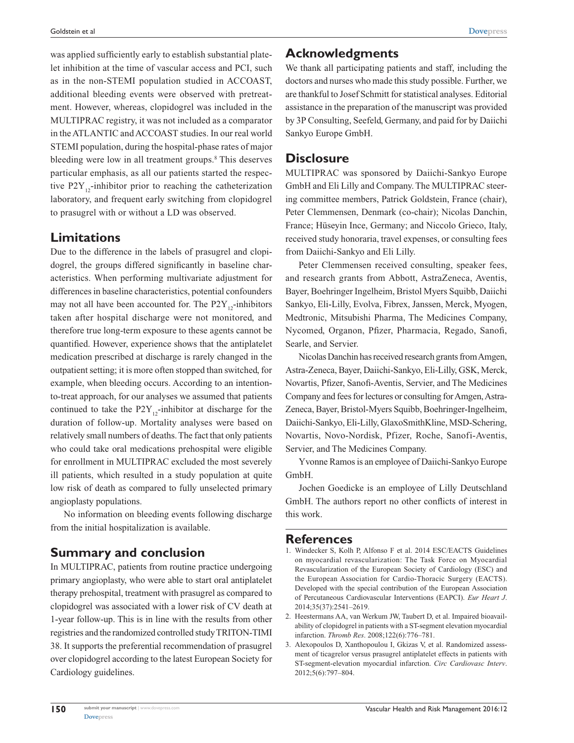was applied sufficiently early to establish substantial platelet inhibition at the time of vascular access and PCI, such as in the non-STEMI population studied in ACCOAST, additional bleeding events were observed with pretreatment. However, whereas, clopidogrel was included in the MULTIPRAC registry, it was not included as a comparator in the ATLANTIC and ACCOAST studies. In our real world STEMI population, during the hospital-phase rates of major bleeding were low in all treatment groups.<sup>8</sup> This deserves particular emphasis, as all our patients started the respective  $P2Y_{12}$ -inhibitor prior to reaching the catheterization laboratory, and frequent early switching from clopidogrel to prasugrel with or without a LD was observed.

### **Limitations**

Due to the difference in the labels of prasugrel and clopidogrel, the groups differed significantly in baseline characteristics. When performing multivariate adjustment for differences in baseline characteristics, potential confounders may not all have been accounted for. The  $P2Y_{12}$ -inhibitors taken after hospital discharge were not monitored, and therefore true long-term exposure to these agents cannot be quantified. However, experience shows that the antiplatelet medication prescribed at discharge is rarely changed in the outpatient setting; it is more often stopped than switched, for example, when bleeding occurs. According to an intentionto-treat approach, for our analyses we assumed that patients continued to take the  $P2Y_{12}$ -inhibitor at discharge for the duration of follow-up. Mortality analyses were based on relatively small numbers of deaths. The fact that only patients who could take oral medications prehospital were eligible for enrollment in MULTIPRAC excluded the most severely ill patients, which resulted in a study population at quite low risk of death as compared to fully unselected primary angioplasty populations.

No information on bleeding events following discharge from the initial hospitalization is available.

### **Summary and conclusion**

In MULTIPRAC, patients from routine practice undergoing primary angioplasty, who were able to start oral antiplatelet therapy prehospital, treatment with prasugrel as compared to clopidogrel was associated with a lower risk of CV death at 1-year follow-up. This is in line with the results from other registries and the randomized controlled study TRITON-TIMI 38. It supports the preferential recommendation of prasugrel over clopidogrel according to the latest European Society for Cardiology guidelines.

## **Acknowledgments**

We thank all participating patients and staff, including the doctors and nurses who made this study possible. Further, we are thankful to Josef Schmitt for statistical analyses. Editorial assistance in the preparation of the manuscript was provided by 3P Consulting, Seefeld, Germany, and paid for by Daiichi Sankyo Europe GmbH.

### **Disclosure**

MULTIPRAC was sponsored by Daiichi-Sankyo Europe GmbH and Eli Lilly and Company. The MULTIPRAC steering committee members, Patrick Goldstein, France (chair), Peter Clemmensen, Denmark (co-chair); Nicolas Danchin, France; Hüseyin Ince, Germany; and Niccolo Grieco, Italy, received study honoraria, travel expenses, or consulting fees from Daiichi-Sankyo and Eli Lilly.

Peter Clemmensen received consulting, speaker fees, and research grants from Abbott, AstraZeneca, Aventis, Bayer, Boehringer Ingelheim, Bristol Myers Squibb, Daiichi Sankyo, Eli-Lilly, Evolva, Fibrex, Janssen, Merck, Myogen, Medtronic, Mitsubishi Pharma, The Medicines Company, Nycomed, Organon, Pfizer, Pharmacia, Regado, Sanofi, Searle, and Servier.

Nicolas Danchin has received research grants from Amgen, Astra-Zeneca, Bayer, Daiichi-Sankyo, Eli-Lilly, GSK, Merck, Novartis, Pfizer, Sanofi-Aventis, Servier, and The Medicines Company and fees for lectures or consulting for Amgen, Astra-Zeneca, Bayer, Bristol-Myers Squibb, Boehringer-Ingelheim, Daiichi-Sankyo, Eli-Lilly, GlaxoSmithKline, MSD-Schering, Novartis, Novo-Nordisk, Pfizer, Roche, Sanofi-Aventis, Servier, and The Medicines Company.

Yvonne Ramos is an employee of Daiichi-Sankyo Europe GmbH.

Jochen Goedicke is an employee of Lilly Deutschland GmbH. The authors report no other conflicts of interest in this work.

#### **References**

- 1. Windecker S, Kolh P, Alfonso F et al. 2014 ESC/EACTS Guidelines on myocardial revascularization: The Task Force on Myocardial Revascularization of the European Society of Cardiology (ESC) and the European Association for Cardio-Thoracic Surgery (EACTS). Developed with the special contribution of the European Association of Percutaneous Cardiovascular Interventions (EAPCI). *Eur Heart J*. 2014;35(37):2541–2619.
- 2. Heestermans AA, van Werkum JW, Taubert D, et al. Impaired bioavailability of clopidogrel in patients with a ST-segment elevation myocardial infarction. *Thromb Res*. 2008;122(6):776–781.
- 3. Alexopoulos D, Xanthopoulou I, Gkizas V, et al. Randomized assessment of ticagrelor versus prasugrel antiplatelet effects in patients with ST-segment-elevation myocardial infarction. *Circ Cardiovasc Interv*. 2012;5(6):797–804.